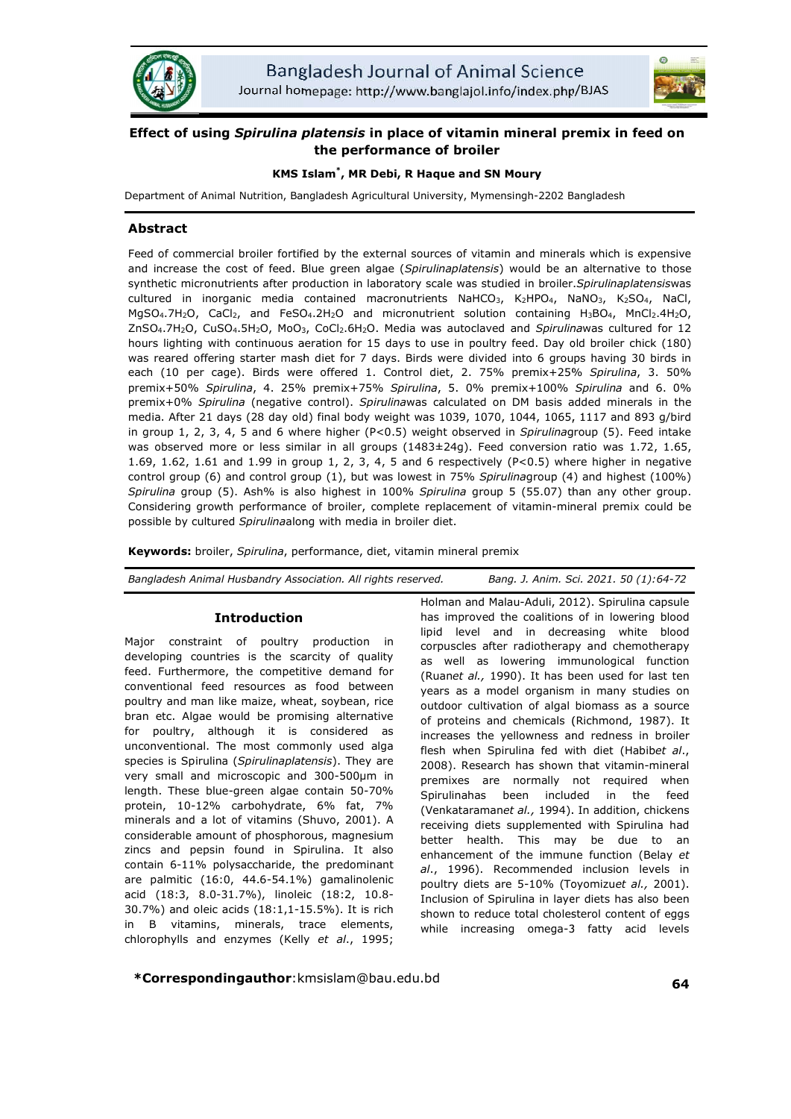



# **Effect of using** *Spirulina platensis* **premix the performance of broiler**

## **KMS Islam Islam\* , MR Debi, R Haque and SN Moury**

Department of Animal Nutrition, Bangladesh Agricultural University, Mymensingh Mymensingh-2202 Bangladesh

## **Abstract**

Feed of commercial broiler fortified by the external sources of vitamin and minerals which is expensive Feed of commercial broiler fortified by the external sources of vitamin and minerals which is expensive<br>and increase the cost of feed. Blue green algae (*Spirulinaplatensis*) would be an alternative to those synthetic micronutrients after production in laboratory scale was studied in broiler. cultured in inorganic media contained macronutrients NaHCO<sub>3</sub>, K<sub>2</sub>HPO<sub>4</sub>, NaNO<sub>3</sub>, K<sub>2</sub>SO<sub>4</sub>, NaCl,  $MgSO_4.7H_2O$ , CaCl<sub>2</sub>, and FeSO<sub>4</sub>.2H<sub>2</sub>O and micronutrient solution containing H<sub>3</sub>BO<sub>4</sub>, MnCl<sub>2</sub>.4H<sub>2</sub>O, ZnSO4.7H2O, CuSO4.5H2O, MoO3 3, CoCl2.6H2O. Media was autoclaved and *Spirulina* was cultured for 12 hours lighting with continuous aeration for 15 days to use in poultry feed. Day old broiler chick (180) was reared offering starter mash diet for 7 days. Birds were divided into 6 groups having 30 birds in into each (10 per cage). Birds were offered 1. Control diet, 2. 75% premix+25% *Spirulina*, 3. 50% premix+50% *Spirulina*, 4. 25% premix+75% 25% *Spirulina*, 5. 0% premix+100% 0% *Spirulina* and 6. 0% premix+0% *Spirulina* (negative control). *Spirulina*was calculated on DM basis added minerals in the media. After 21 days (28 day old) final body weight was 1039, 1070, 1044, 1065, 1117 and 893 g/bird 1065, in group 1, 2, 3, 4, 5 and 6 where higher (P<0.5) weight observed in in *Spirulina*group (5). Feed intake was observed more or less similar in all groups (1483±24g). Fe Feed conversion ratio was 1.72, 1.65, 1.69, 1.62, 1.61 and 1.99 in group 1, 2, 3, 4, 5 and 6 respectively  $(P<0.5)$  where higher in negative control group (6) and control group (1), but was lowest in 75% Spirulinagroup (4) and highest (100%) Spirulina group (5). Ash% is also highest in 100% Spirulina group 5 (55.07) than any other group. Considering growth performance of broiler, complete replacement of vitamin-mineral premix could be possible by cultured *Spirulina*along with media in broiler diet. **platers is n place of vitamin mineral premix in feed on platers is n place of vitamin mineral premix in feed on the premix in RN Moury angladesh Agricultural University, Nymensingh-2202 Bangladesh Agricultural University,** Mymensingh-2202 Bangladesh<br>vitamin and minerals which is expensive<br>*tensis*) would be an alternative to those<br>is studied in broiler.*Spirulinaplatensis*was After 21 days (28 day old) final body weight was 1039, 1070, 1044, 1065, 1117 and 893 g/bird<br>p 1, 2, 3, 4, 5 and 6 where higher (P<0.5) weight observed in *Spirulina*group (5). Feed intake<br>served more or less similar in a

possible by cultured *Spirulina*along with media in broiler diet.<br>**Keywords:** broiler, *Spirulina*, performance, diet, vitamin mineral premix

| Bangladesh Animal Husbandry Association. All rights reserved. | Bang. J. Anim. Sci. 2021. 50 (1):64-72 |
|---------------------------------------------------------------|----------------------------------------|
|---------------------------------------------------------------|----------------------------------------|

## **Introduction**

Major constraint of poultry production in developing countries is the scarcity of quality feed. Furthermore, the competitive demand for conventional feed resources as food between poultry and man like maize, wheat, soybean, rice poultry and man like maize, wheat, soybean, rice<br>bran etc. Algae would be promising alternative for poultry, although it is considered as unconventional. The most commonly used alga species is Spirulina (*Spirulinaplatensis* ). They are very small and microscopic and 300-500µm in length. These blue-green algae contain 50-70% protein, 10-12% carbohydrate, 6% fat, 7% protein, 10-12% carbohydrate, 6% fat, 7%<br>minerals and a lot of vitamins (Shuvo, 2001). A considerable amount of phosphorous, magnesium zincs and pepsin found in Spirulina. It also contain 6-11% polysaccharide, the predominant are palmitic (16:0, 44.6-54.1%) 54.1%) gamalinolenic acid (18:3, 8.0-31.7%), linoleic (18:2, 10.8 31.7%), 10.8- 30.7%) and oleic acids (18:1,1-15.5%). It is rich 15.5%). in B vitamins, minerals, trace elements, chlorophylls and enzymes (Kelly chlorophylls *et al*., 1995;

Holman and Malau-Aduli, 2012). Spirulina capsule has improved the coalitions of in lowering blood lipid level and in decreasing white blood corpuscles after radiotherapy and chemotherapy as well as lowering immunological function (Ruan*et al.,* 1990). It has been used for last ten years as a model organism in many studies on outdoor cultivation of algal biomass as a source of proteins and chemicals (Richmond, 1987). It increases the yellowness and redness in broiler flesh when Spirulina fed with diet (Habib*et al.*, 2008). Research has shown that vitamin-mineral premixes are normally not required when Spirulinahas been included in the feed (Venkataraman*et al.,* 1994). In addition, chickens receiving diets supplemented with Spirulina had better health. This may be due to an enhancement of the immune function (Belay *et al*., 1996). Recommended inclusion levels in *al.*, 1996). Recommended inclusion levels in<br>poultry diets are 5-10% (Toyomizu*et al.,* 2001). Inclusion of Spirulina in layer diets has also been shown to reduce total cholesterol content of eggs while increasing omega-3 fatty acid levels and Malau-Aduli, 2012). Spirulina capsule<br>roved the coalitions of in lowering blood<br>wel and in decreasing white blood<br>es after radiotherapy and chemotherapy<br>as lowering immunological function<br>al., 1990). It has been used f has been included in the feed<br>Iraman*et al.,* 1994). In-addition, chickens<br>I diets-supplemented-with-Spirulina-had rer diets has<br>esterol contei<br>3 fatty ac

**\*Correspondingauthor**:kmsislam@bau.edu.bd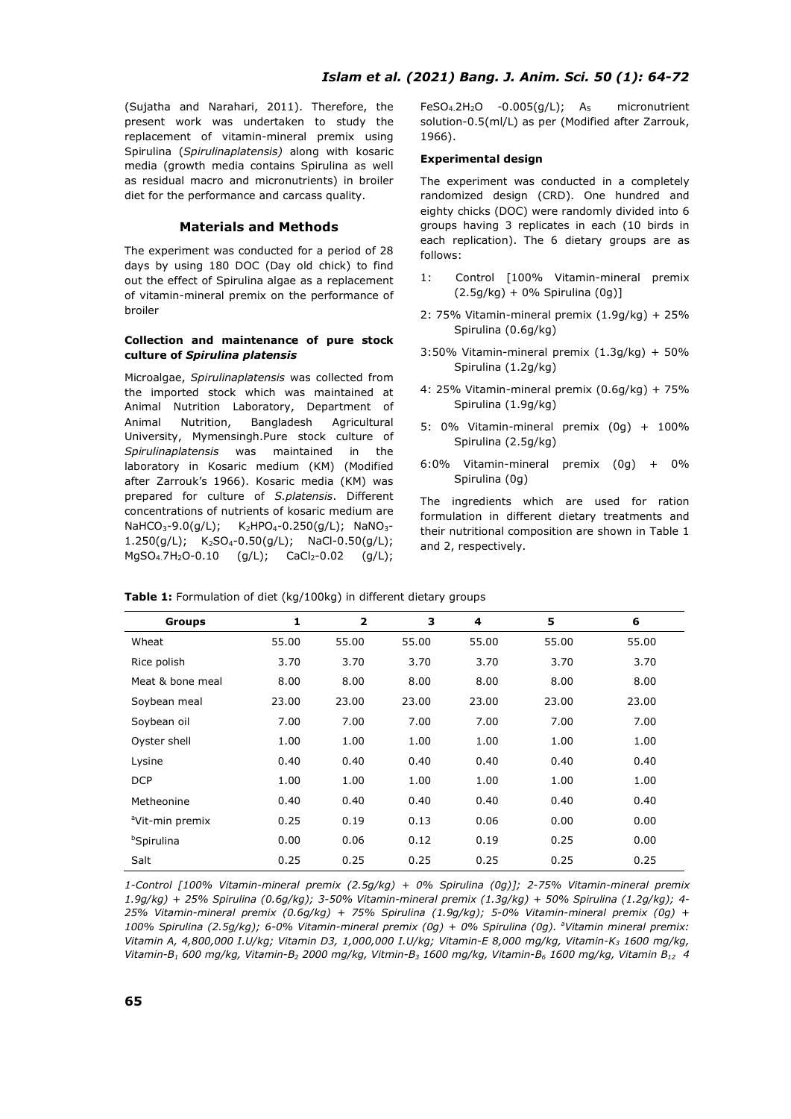(Sujatha and Narahari, 2011). Therefore, the present work was undertaken to study the replacement of vitamin-mineral premix using Spirulina (*Spirulinaplatensis)* along with kosaric media (growth media contains Spirulina as well as residual macro and micronutrients) in broiler diet for the performance and carcass quality.

## **Materials and Methods**

The experiment was conducted for a period of 28 days by using 180 DOC (Day old chick) to find out the effect of Spirulina algae as a replacement of vitamin-mineral premix on the performance of broiler

### **Collection and maintenance of pure stock culture of** *Spirulina platensis*

Microalgae, *Spirulinaplatensis* was collected from the imported stock which was maintained at Animal Nutrition Laboratory, Department of Animal Nutrition, Bangladesh Agricultural University, Mymensingh.Pure stock culture of *Spirulinaplatensis* was maintained in the laboratory in Kosaric medium (KM) (Modified after Zarrouk's 1966). Kosaric media (KM) was prepared for culture of *S.platensis*. Different concentrations of nutrients of kosaric medium are NaHCO<sub>3</sub>-9.0(g/L);  $K_2HPO_4-0.250(q/L)$ ; NaNO<sub>3</sub>-1.250(g/L);  $K_2SO_4-0.50(g/L)$ ; NaCl-0.50(g/L);  $MgSO_4.7H_2O-0.10$  (g/L); CaCl<sub>2</sub>-0.02 (g/L); FeSO<sub>4.</sub>2H<sub>2</sub>O -0.005(g/L);  $A_5$  micronutrient solution-0.5(ml/L) as per (Modified after Zarrouk, 1966).

#### **Experimental design**

The experiment was conducted in a completely randomized design (CRD). One hundred and eighty chicks (DOC) were randomly divided into 6 groups having 3 replicates in each (10 birds in each replication). The 6 dietary groups are as follows:

- 1: Control [100% Vitamin-mineral premix (2.5g/kg) + 0% Spirulina (0g)]
- 2: 75% Vitamin-mineral premix (1.9g/kg) + 25% Spirulina (0.6g/kg)
- 3:50% Vitamin-mineral premix (1.3g/kg) + 50% Spirulina (1.2g/kg)
- 4: 25% Vitamin-mineral premix (0.6g/kg) + 75% Spirulina (1.9g/kg)
- 5: 0% Vitamin-mineral premix (0g) + 100% Spirulina (2.5g/kg)
- 6:0% Vitamin-mineral premix (0g) + 0% Spirulina (0g)

The ingredients which are used for ration formulation in different dietary treatments and their nutritional composition are shown in Table 1 and 2, respectively.

| Table 1: Formulation of diet (kg/100kg) in different dietary groups |  |  |  |
|---------------------------------------------------------------------|--|--|--|
|---------------------------------------------------------------------|--|--|--|

| <b>Groups</b>               | 1     | $\overline{\mathbf{z}}$ | 3     | 4     | 5     | 6     |
|-----------------------------|-------|-------------------------|-------|-------|-------|-------|
| Wheat                       | 55.00 | 55.00                   | 55.00 | 55.00 | 55.00 | 55.00 |
| Rice polish                 | 3.70  | 3.70                    | 3.70  | 3.70  | 3.70  | 3.70  |
| Meat & bone meal            | 8.00  | 8.00                    | 8.00  | 8.00  | 8.00  | 8.00  |
| Soybean meal                | 23.00 | 23.00                   | 23.00 | 23.00 | 23.00 | 23.00 |
| Soybean oil                 | 7.00  | 7.00                    | 7.00  | 7.00  | 7.00  | 7.00  |
| Oyster shell                | 1.00  | 1.00                    | 1.00  | 1.00  | 1.00  | 1.00  |
| Lysine                      | 0.40  | 0.40                    | 0.40  | 0.40  | 0.40  | 0.40  |
| <b>DCP</b>                  | 1.00  | 1.00                    | 1.00  | 1.00  | 1.00  | 1.00  |
| Metheonine                  | 0.40  | 0.40                    | 0.40  | 0.40  | 0.40  | 0.40  |
| <sup>a</sup> Vit-min premix | 0.25  | 0.19                    | 0.13  | 0.06  | 0.00  | 0.00  |
| <b>bSpirulina</b>           | 0.00  | 0.06                    | 0.12  | 0.19  | 0.25  | 0.00  |
| Salt                        | 0.25  | 0.25                    | 0.25  | 0.25  | 0.25  | 0.25  |

*1-Control [100% Vitamin-mineral premix (2.5g/kg) + 0% Spirulina (0g)]; 2-75% Vitamin-mineral premix 1.9g/kg) + 25% Spirulina (0.6g/kg); 3-50% Vitamin-mineral premix (1.3g/kg) + 50% Spirulina (1.2g/kg); 4- 25% Vitamin-mineral premix (0.6g/kg) + 75% Spirulina (1.9g/kg); 5-0% Vitamin-mineral premix (0g) + 100% Spirulina (2.5g/kg); 6-0% Vitamin-mineral premix (0g) + 0% Spirulina (0g). <sup>a</sup> Vitamin mineral premix: Vitamin A, 4,800,000 I.U/kg; Vitamin D3, 1,000,000 I.U/kg; Vitamin-E 8,000 mg/kg, Vitamin-K3 1600 mg/kg, Vitamin-B1 600 mg/kg, Vitamin-B2 2000 mg/kg, Vitmin-B3 1600 mg/kg, Vitamin-B6 1600 mg/kg, Vitamin B12 4*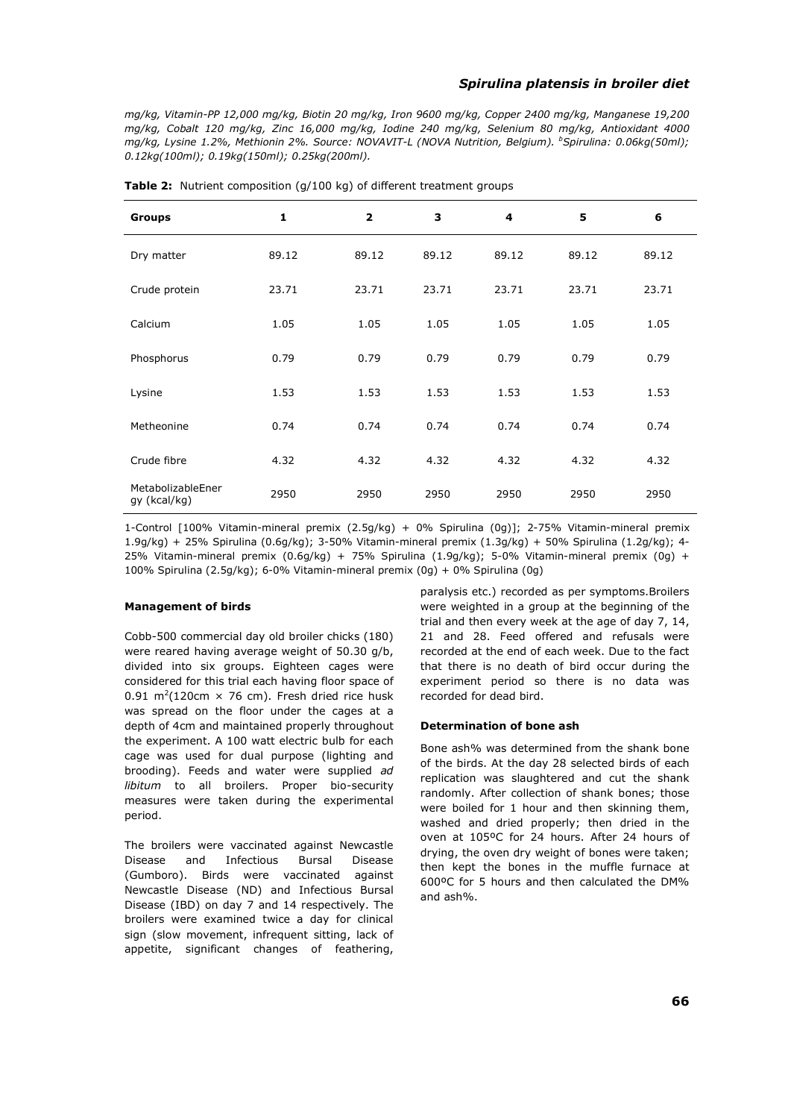## *Spirulina platensis in broiler diet*

*mg/kg, Vitamin-PP 12,000 mg/kg, Biotin 20 mg/kg, Iron 9600 mg/kg, Copper 2400 mg/kg, Manganese 19,200 mg/kg, Cobalt 120 mg/kg, Zinc 16,000 mg/kg, Iodine 240 mg/kg, Selenium 80 mg/kg, Antioxidant 4000 mg/kg, Lysine 1.2%, Methionin 2%. Source: NOVAVIT-L (NOVA Nutrition, Belgium). <sup>b</sup> Spirulina: 0.06kg(50ml); 0.12kg(100ml); 0.19kg(150ml); 0.25kg(200ml).*

| <b>Groups</b>                     | $\mathbf{1}$ | $\overline{2}$ | 3     | 4     | 5     | 6     |
|-----------------------------------|--------------|----------------|-------|-------|-------|-------|
| Dry matter                        | 89.12        | 89.12          | 89.12 | 89.12 | 89.12 | 89.12 |
| Crude protein                     | 23.71        | 23.71          | 23.71 | 23.71 | 23.71 | 23.71 |
| Calcium                           | 1.05         | 1.05           | 1.05  | 1.05  | 1.05  | 1.05  |
| Phosphorus                        | 0.79         | 0.79           | 0.79  | 0.79  | 0.79  | 0.79  |
| Lysine                            | 1.53         | 1.53           | 1.53  | 1.53  | 1.53  | 1.53  |
| Metheonine                        | 0.74         | 0.74           | 0.74  | 0.74  | 0.74  | 0.74  |
| Crude fibre                       | 4.32         | 4.32           | 4.32  | 4.32  | 4.32  | 4.32  |
| MetabolizableEner<br>gy (kcal/kg) | 2950         | 2950           | 2950  | 2950  | 2950  | 2950  |

**Table 2:** Nutrient composition (g/100 kg) of different treatment groups

1-Control [100% Vitamin-mineral premix (2.5g/kg) + 0% Spirulina (0g)]; 2-75% Vitamin-mineral premix 1.9g/kg) + 25% Spirulina (0.6g/kg); 3-50% Vitamin-mineral premix (1.3g/kg) + 50% Spirulina (1.2g/kg); 4- 25% Vitamin-mineral premix (0.6g/kg) + 75% Spirulina (1.9g/kg); 5-0% Vitamin-mineral premix (0g) + 100% Spirulina (2.5g/kg); 6-0% Vitamin-mineral premix (0g) + 0% Spirulina (0g)

### **Management of birds**

Cobb-500 commercial day old broiler chicks (180) were reared having average weight of 50.30 g/b, divided into six groups. Eighteen cages were considered for this trial each having floor space of 0.91 m<sup>2</sup>(120cm  $\times$  76 cm). Fresh dried rice husk was spread on the floor under the cages at a depth of 4cm and maintained properly throughout the experiment. A 100 watt electric bulb for each cage was used for dual purpose (lighting and brooding). Feeds and water were supplied *ad libitum* to all broilers. Proper bio-security measures were taken during the experimental period.

The broilers were vaccinated against Newcastle Disease and Infectious Bursal Disease (Gumboro). Birds were vaccinated against Newcastle Disease (ND) and Infectious Bursal Disease (IBD) on day 7 and 14 respectively. The broilers were examined twice a day for clinical sign (slow movement, infrequent sitting, lack of appetite, significant changes of feathering, paralysis etc.) recorded as per symptoms.Broilers were weighted in a group at the beginning of the trial and then every week at the age of day 7, 14, 21 and 28. Feed offered and refusals were recorded at the end of each week. Due to the fact that there is no death of bird occur during the experiment period so there is no data was recorded for dead bird.

#### **Determination of bone ash**

Bone ash% was determined from the shank bone of the birds. At the day 28 selected birds of each replication was slaughtered and cut the shank randomly. After collection of shank bones; those were boiled for 1 hour and then skinning them, washed and dried properly; then dried in the oven at 105ºC for 24 hours. After 24 hours of drying, the oven dry weight of bones were taken; then kept the bones in the muffle furnace at 600ºC for 5 hours and then calculated the DM% and ash%.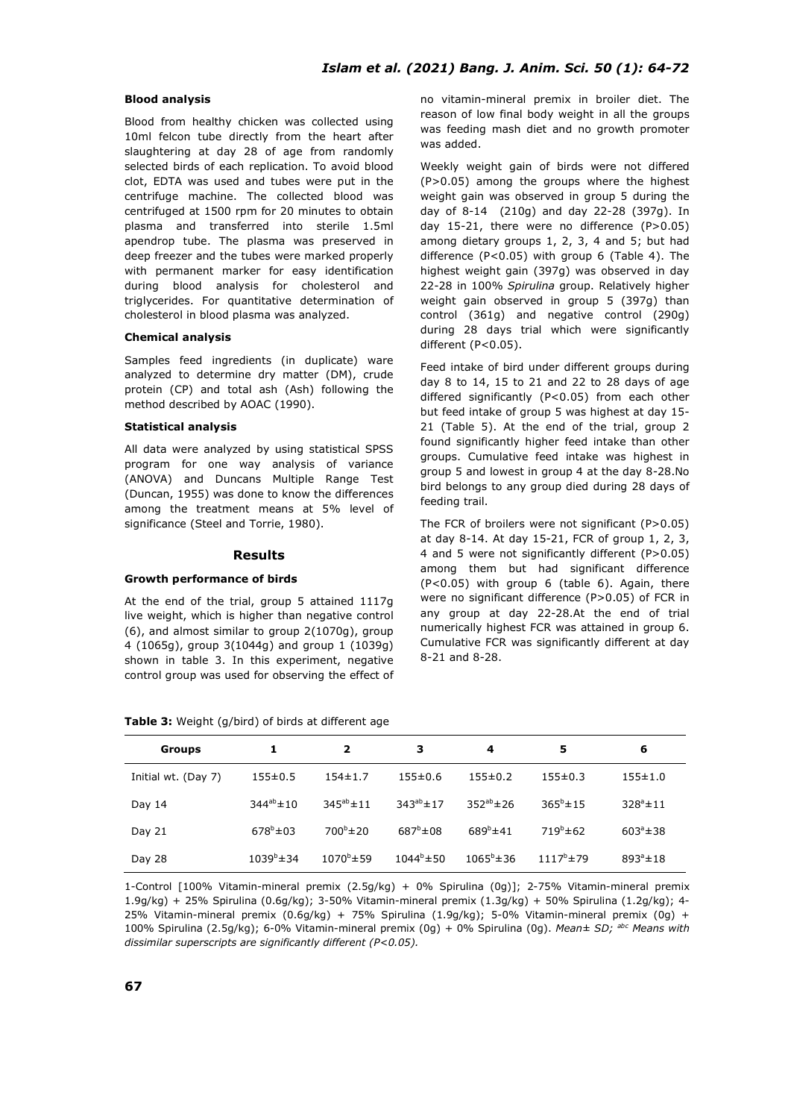### **Blood analysis**

Blood from healthy chicken was collected using 10ml felcon tube directly from the heart after slaughtering at day 28 of age from randomly selected birds of each replication. To avoid blood clot, EDTA was used and tubes were put in the centrifuge machine. The collected blood was centrifuged at 1500 rpm for 20 minutes to obtain plasma and transferred into sterile 1.5ml apendrop tube. The plasma was preserved in deep freezer and the tubes were marked properly with permanent marker for easy identification during blood analysis for cholesterol and triglycerides. For quantitative determination of cholesterol in blood plasma was analyzed.

#### **Chemical analysis**

Samples feed ingredients (in duplicate) ware analyzed to determine dry matter (DM), crude protein (CP) and total ash (Ash) following the method described by AOAC (1990).

### **Statistical analysis**

All data were analyzed by using statistical SPSS program for one way analysis of variance (ANOVA) and Duncans Multiple Range Test (Duncan, 1955) was done to know the differences among the treatment means at 5% level of significance (Steel and Torrie, 1980).

#### **Results**

#### **Growth performance of birds**

At the end of the trial, group 5 attained 1117g live weight, which is higher than negative control (6), and almost similar to group 2(1070g), group 4 (1065g), group 3(1044g) and group 1 (1039g) shown in table 3. In this experiment, negative control group was used for observing the effect of no vitamin-mineral premix in broiler diet. The reason of low final body weight in all the groups was feeding mash diet and no growth promoter was added.

Weekly weight gain of birds were not differed (P>0.05) among the groups where the highest weight gain was observed in group 5 during the day of 8-14 (210g) and day 22-28 (397g). In day 15-21, there were no difference (P>0.05) among dietary groups 1, 2, 3, 4 and 5; but had difference (P<0.05) with group 6 (Table 4). The highest weight gain (397g) was observed in day 22-28 in 100% *Spirulina* group. Relatively higher weight gain observed in group 5 (397g) than control (361g) and negative control (290g) during 28 days trial which were significantly different (P<0.05).

Feed intake of bird under different groups during day 8 to 14, 15 to 21 and 22 to 28 days of age differed significantly (P<0.05) from each other but feed intake of group 5 was highest at day 15- 21 (Table 5). At the end of the trial, group 2 found significantly higher feed intake than other groups. Cumulative feed intake was highest in group 5 and lowest in group 4 at the day 8-28.No bird belongs to any group died during 28 days of feeding trail.

The FCR of broilers were not significant (P>0.05) at day 8-14. At day 15-21, FCR of group 1, 2, 3, 4 and 5 were not significantly different (P>0.05) among them but had significant difference (P<0.05) with group 6 (table 6). Again, there were no significant difference (P>0.05) of FCR in any group at day 22-28.At the end of trial numerically highest FCR was attained in group 6. Cumulative FCR was significantly different at day 8-21 and 8-28.

| Groups              |                     | 2                   | з                   | 4                   | 5                  | 6                  |
|---------------------|---------------------|---------------------|---------------------|---------------------|--------------------|--------------------|
| Initial wt. (Day 7) | $155 \pm 0.5$       | $154 \pm 1.7$       | $155 \pm 0.6$       | $155 \pm 0.2$       | $155 \pm 0.3$      | $155 \pm 1.0$      |
| Day 14              | $344^{ab} \pm 10$   | $345^{ab} \pm 11$   | $343^{ab} \pm 17$   | $352^{ab} \pm 26$   | $365^{\circ}$ ± 15 | $328^{\circ}$ ± 11 |
| Day 21              | $678^b \pm 03$      | $700^{\circ}$ ± 20  | $687^{\circ}$ ± 08  | $689^{\circ}$ ± 41  | $719^{b} \pm 62$   | $603^{\circ}$ ± 38 |
| Day 28              | $1039^{\circ}$ ± 34 | $1070^{\circ}$ ± 59 | $1044^{\circ}$ ± 50 | $1065^{\circ}$ ± 36 | $1117^b$ ± 79      | $893^{\circ}$ ± 18 |

**Table 3:** Weight (g/bird) of birds at different age

1-Control [100% Vitamin-mineral premix (2.5g/kg) + 0% Spirulina (0g)]; 2-75% Vitamin-mineral premix 1.9g/kg) + 25% Spirulina (0.6g/kg); 3-50% Vitamin-mineral premix (1.3g/kg) + 50% Spirulina (1.2g/kg); 4- 25% Vitamin-mineral premix (0.6g/kg) + 75% Spirulina (1.9g/kg); 5-0% Vitamin-mineral premix (0g) + 100% Spirulina (2.5g/kg); 6-0% Vitamin-mineral premix (0g) + 0% Spirulina (0g). *Mean± SD; abc Means with dissimilar superscripts are significantly different (P<0.05).*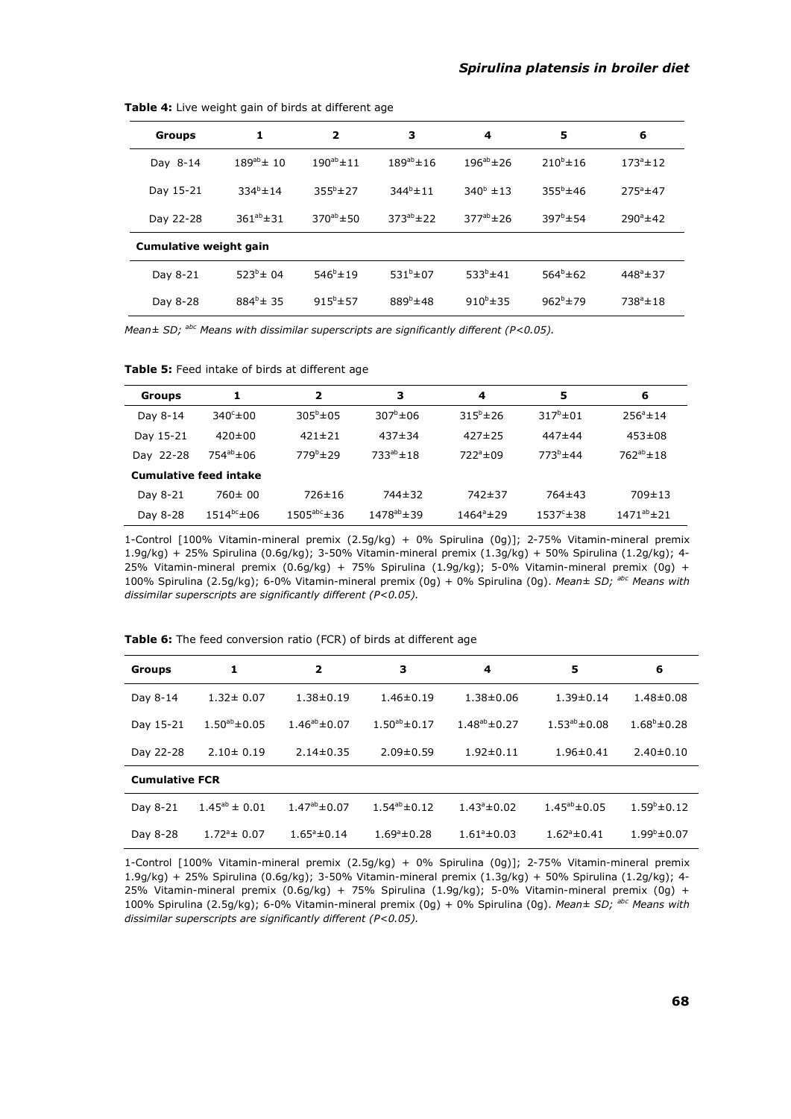| Groups                 | 1                 | $\overline{\mathbf{2}}$ | з                 | 4                  | 5                | 6                 |  |  |
|------------------------|-------------------|-------------------------|-------------------|--------------------|------------------|-------------------|--|--|
| Day 8-14               | $189^{ab} \pm 10$ | $190^{ab} \pm 11$       | $189^{ab} \pm 16$ | $196^{ab} \pm 26$  | $210^{b} \pm 16$ | $173^a \pm 12$    |  |  |
| Day 15-21              | $334^{b} \pm 14$  | $355^{b}$ ± 27          | $344^{b} \pm 11$  | $340^{\circ}$ ± 13 | $355^{b}$ ± 46   | $275^{\circ}$ ±47 |  |  |
| Day 22-28              | $361^{ab} \pm 31$ | $370^{ab} \pm 50$       | $373^{ab} \pm 22$ | $377^{ab}$ ± 26    | $397^b \pm 54$   | $290^{\circ}$ ±42 |  |  |
| Cumulative weight gain |                   |                         |                   |                    |                  |                   |  |  |
| Day 8-21               | $523^{b} \pm 04$  | $546^{b} \pm 19$        | $531^{b} \pm 07$  | $533^{b}$ ± 41     | $564^b \pm 62$   | $448^a \pm 37$    |  |  |
| Day 8-28               | $884^{b}$ ± 35    | $915^b \pm 57$          | $889^b$ ± 48      | $910^{b} \pm 35$   | $962^b$ ± 79     | $738^a \pm 18$    |  |  |

**Table 4:** Live weight gain of birds at different age

*Mean± SD; abc Means with dissimilar superscripts are significantly different (P<0.05).*

|  | Table 5: Feed intake of birds at different age |
|--|------------------------------------------------|
|  |                                                |

| Groups    | 1                             | $\mathbf{2}$             | з                  | 4                   | 5                   | 6                  |
|-----------|-------------------------------|--------------------------|--------------------|---------------------|---------------------|--------------------|
| Day 8-14  | $340^\circ \pm 00$            | $305^{\circ} \pm 05$     | $307^{\circ}$ ± 06 | $315^b \pm 26$      | $317^b \pm 01$      | $256^{\circ}$ ± 14 |
| Day 15-21 | $420 \pm 00$                  | $421 \pm 21$             | $437 \pm 34$       | $427 \pm 25$        | 447±44              | $453 \pm 08$       |
| Day 22-28 | $754^{ab} \pm 06$             | $779^b \pm 29$           | $733^{ab} \pm 18$  | $722^a \pm 09$      | $773^{b}$ ± 44      | $762^{ab}$ ± 18    |
|           | <b>Cumulative feed intake</b> |                          |                    |                     |                     |                    |
| Day 8-21  | $760 \pm 00$                  | $726 \pm 16$             | 744±32             | 742±37              | 764±43              | $709 \pm 13$       |
| Day 8-28  | $1514^{bc} \pm 06$            | $1505^{\text{abc}}$ ± 36 | $1478^{ab} \pm 39$ | $1464^{\circ}$ ± 29 | $1537^{\circ}$ ± 38 | $1471^{ab} \pm 21$ |

1-Control [100% Vitamin-mineral premix (2.5g/kg) + 0% Spirulina (0g)]; 2-75% Vitamin-mineral premix 1.9g/kg) + 25% Spirulina (0.6g/kg); 3-50% Vitamin-mineral premix (1.3g/kg) + 50% Spirulina (1.2g/kg); 4- 25% Vitamin-mineral premix (0.6g/kg) + 75% Spirulina (1.9g/kg); 5-0% Vitamin-mineral premix (0g) + 100% Spirulina (2.5g/kg); 6-0% Vitamin-mineral premix (0g) + 0% Spirulina (0g). *Mean± SD; abc Means with dissimilar superscripts are significantly different (P<0.05).*

| Table 6: The feed conversion ratio (FCR) of birds at different age |  |
|--------------------------------------------------------------------|--|
|--------------------------------------------------------------------|--|

| <b>Groups</b>         | 1                     | $\overline{\mathbf{2}}$<br>з                 |                         | 4                       | 5                       | 6                       |  |  |  |
|-----------------------|-----------------------|----------------------------------------------|-------------------------|-------------------------|-------------------------|-------------------------|--|--|--|
| Day 8-14              | $1.32 \pm 0.07$       | $1.38 \pm 0.19$<br>$1.46 \pm 0.19$           |                         | $1.38 \pm 0.06$         | $1.39 \pm 0.14$         | $1.48 \pm 0.08$         |  |  |  |
| Day 15-21             | $1.50^{ab} \pm 0.05$  | $1.50^{ab} \pm 0.17$<br>$1.46^{ab} \pm 0.07$ |                         | $1.48^{ab} \pm 0.27$    | $1.53^{ab} \pm 0.08$    | $1.68^b \pm 0.28$       |  |  |  |
| Day 22-28             | $2.10 \pm 0.19$       | $2.14 \pm 0.35$                              | $2.09 \pm 0.59$         |                         | $1.96 \pm 0.41$         | $2.40 \pm 0.10$         |  |  |  |
| <b>Cumulative FCR</b> |                       |                                              |                         |                         |                         |                         |  |  |  |
| Day 8-21              | $1.45^{ab} \pm 0.01$  | $1.47^{ab} \pm 0.07$                         | $1.54^{ab} \pm 0.12$    | $1.43^{\circ} \pm 0.02$ | $1.45^{ab} \pm 0.05$    | $1.59^b \pm 0.12$       |  |  |  |
| Day 8-28              | $1.72^{\circ}$ ± 0.07 | $1.65^{\circ} \pm 0.14$                      | $1.69^{\circ} \pm 0.28$ | $1.61^{\circ} \pm 0.03$ | $1.62^{\circ} \pm 0.41$ | $1.99^{\rm b} \pm 0.07$ |  |  |  |

1-Control [100% Vitamin-mineral premix (2.5g/kg) + 0% Spirulina (0g)]; 2-75% Vitamin-mineral premix 1.9g/kg) + 25% Spirulina (0.6g/kg); 3-50% Vitamin-mineral premix (1.3g/kg) + 50% Spirulina (1.2g/kg); 4- 25% Vitamin-mineral premix (0.6g/kg) + 75% Spirulina (1.9g/kg); 5-0% Vitamin-mineral premix (0g) + 100% Spirulina (2.5g/kg); 6-0% Vitamin-mineral premix (0g) + 0% Spirulina (0g). *Mean± SD; abc Means with dissimilar superscripts are significantly different (P<0.05).*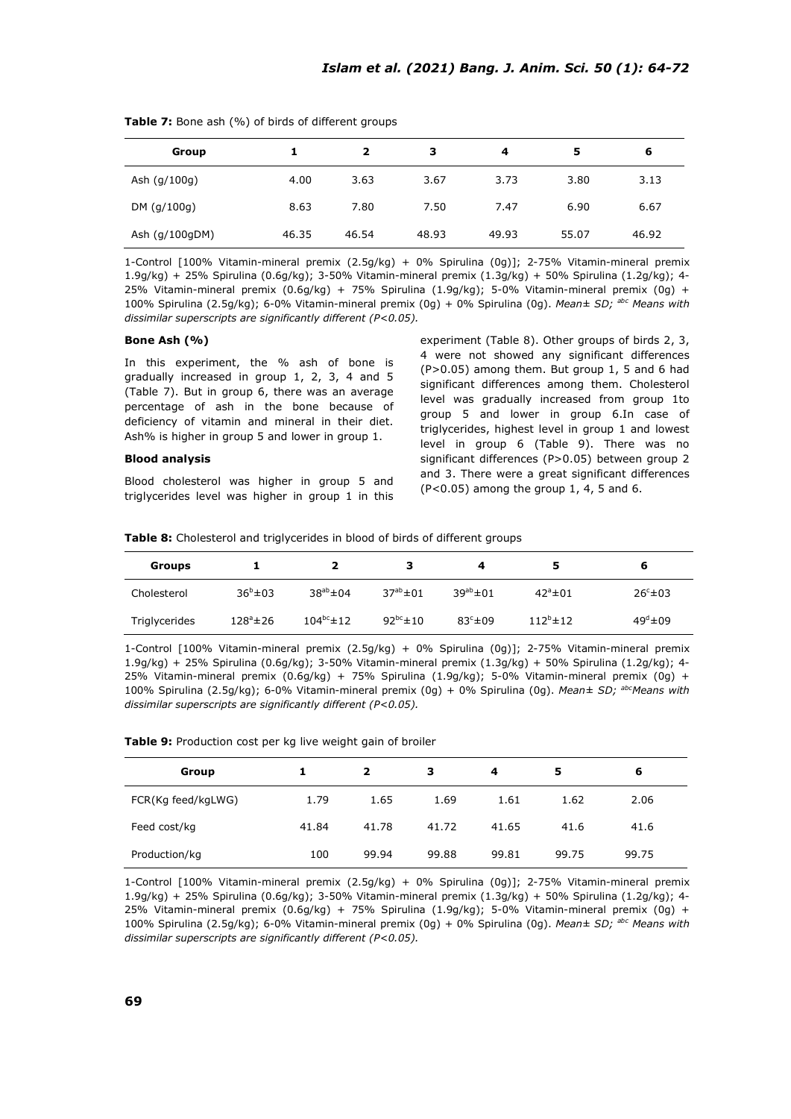| Group          |       | 2     | з     | 4     | 5     | 6     |
|----------------|-------|-------|-------|-------|-------|-------|
| Ash (g/100g)   | 4.00  | 3.63  | 3.67  | 3.73  | 3.80  | 3.13  |
| DM (q/100q)    | 8.63  | 7.80  | 7.50  | 7.47  | 6.90  | 6.67  |
| Ash (g/100gDM) | 46.35 | 46.54 | 48.93 | 49.93 | 55.07 | 46.92 |

**Table 7:** Bone ash (%) of birds of different groups

1-Control [100% Vitamin-mineral premix (2.5g/kg) + 0% Spirulina (0g)]; 2-75% Vitamin-mineral premix 1.9g/kg) + 25% Spirulina (0.6g/kg); 3-50% Vitamin-mineral premix (1.3g/kg) + 50% Spirulina (1.2g/kg); 4- 25% Vitamin-mineral premix (0.6g/kg) + 75% Spirulina (1.9g/kg); 5-0% Vitamin-mineral premix (0g) + 100% Spirulina (2.5g/kg); 6-0% Vitamin-mineral premix (0g) + 0% Spirulina (0g). *Mean± SD; abc Means with dissimilar superscripts are significantly different (P<0.05).*

### **Bone Ash (%)**

In this experiment, the % ash of bone is gradually increased in group 1, 2, 3, 4 and 5 (Table 7). But in group 6, there was an average percentage of ash in the bone because of deficiency of vitamin and mineral in their diet. Ash% is higher in group 5 and lower in group 1.

### **Blood analysis**

Blood cholesterol was higher in group 5 and triglycerides level was higher in group 1 in this experiment (Table 8). Other groups of birds 2, 3, 4 were not showed any significant differences (P>0.05) among them. But group 1, 5 and 6 had significant differences among them. Cholesterol level was gradually increased from group 1to group 5 and lower in group 6.In case of triglycerides, highest level in group 1 and lowest level in group 6 (Table 9). There was no significant differences (P>0.05) between group 2 and 3. There were a great significant differences  $(P<0.05)$  among the group 1, 4, 5 and 6.

|  |  |  |  | Table 8: Cholesterol and triglycerides in blood of birds of different groups |  |  |  |  |  |  |  |
|--|--|--|--|------------------------------------------------------------------------------|--|--|--|--|--|--|--|
|--|--|--|--|------------------------------------------------------------------------------|--|--|--|--|--|--|--|

| Groups        |                 |                   |                  | 4                 | 5                     | b                 |
|---------------|-----------------|-------------------|------------------|-------------------|-----------------------|-------------------|
| Cholesterol   | $36^{b} \pm 03$ | $38^{ab} \pm 04$  | $37^{ab} \pm 01$ | $39^{ab} \pm 01$  | $42^{\circ}$ $\pm$ 01 | $26c + 03$        |
| Triglycerides | $128^a \pm 26$  | $104^{bc} \pm 12$ | $92^{bc}$ ± 10   | $83^\circ \pm 09$ | $112^{b}$ ± 12        | $49^\circ \pm 09$ |

1-Control [100% Vitamin-mineral premix (2.5g/kg) + 0% Spirulina (0g)]; 2-75% Vitamin-mineral premix 1.9g/kg) + 25% Spirulina (0.6g/kg); 3-50% Vitamin-mineral premix (1.3g/kg) + 50% Spirulina (1.2g/kg); 4- 25% Vitamin-mineral premix (0.6g/kg) + 75% Spirulina (1.9g/kg); 5-0% Vitamin-mineral premix (0g) + 100% Spirulina (2.5g/kg); 6-0% Vitamin-mineral premix (0g) + 0% Spirulina (0g). *Mean± SD; abcMeans with dissimilar superscripts are significantly different (P<0.05).*

**Table 9:** Production cost per kg live weight gain of broiler

| Group              |       |       | з     | 4     | 5     | 6     |
|--------------------|-------|-------|-------|-------|-------|-------|
| FCR(Kg feed/kgLWG) | 1.79  | 1.65  | 1.69  | 1.61  | 1.62  | 2.06  |
| Feed cost/kg       | 41.84 | 41.78 | 41.72 | 41.65 | 41.6  | 41.6  |
| Production/kg      | 100   | 99.94 | 99.88 | 99.81 | 99.75 | 99.75 |

1-Control [100% Vitamin-mineral premix (2.5g/kg) + 0% Spirulina (0g)]; 2-75% Vitamin-mineral premix 1.9g/kg) + 25% Spirulina (0.6g/kg); 3-50% Vitamin-mineral premix (1.3g/kg) + 50% Spirulina (1.2g/kg); 4- 25% Vitamin-mineral premix  $(0.6q/kg) + 75%$  Spirulina  $(1.9q/kg)$ ; 5-0% Vitamin-mineral premix  $(0q) +$ 100% Spirulina (2.5g/kg); 6-0% Vitamin-mineral premix (0g) + 0% Spirulina (0g). *Mean± SD; abc Means with dissimilar superscripts are significantly different (P<0.05).*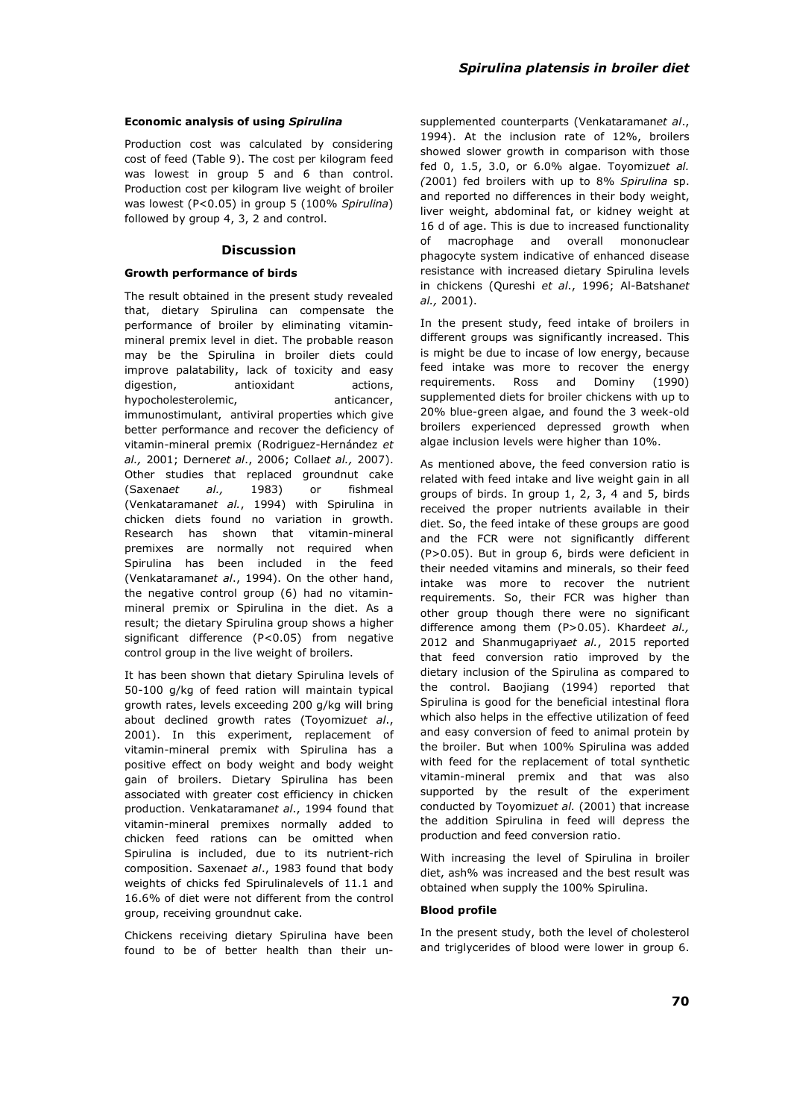#### **Economic analysis of using** *Spirulina*

Production cost was calculated by considering cost of feed (Table 9). The cost per kilogram feed was lowest in group 5 and 6 than control. Production cost per kilogram live weight of broiler was lowest (P<0.05) in group 5 (100% *Spirulina*) followed by group 4, 3, 2 and control.

### **Discussion**

### **Growth performance of birds**

The result obtained in the present study revealed that, dietary Spirulina can compensate the performance of broiler by eliminating vitaminmineral premix level in diet. The probable reason may be the Spirulina in broiler diets could improve palatability, lack of toxicity and easy digestion, antioxidant actions, hypocholesterolemic, anticancer, immunostimulant, antiviral properties which give better performance and recover the deficiency of vitamin-mineral premix (Rodriguez-Hernández *et al.,* 2001; Derner*et al*., 2006; Colla*et al.,* 2007). Other studies that replaced groundnut cake (Saxena*et al.,* 1983) or fishmeal (Venkataraman*et al.*, 1994) with Spirulina in chicken diets found no variation in growth. Research has shown that vitamin-mineral premixes are normally not required when Spirulina has been included in the feed (Venkataraman*et al*., 1994). On the other hand, the negative control group (6) had no vitaminmineral premix or Spirulina in the diet. As a result; the dietary Spirulina group shows a higher significant difference (P<0.05) from negative control group in the live weight of broilers.

It has been shown that dietary Spirulina levels of 50-100 g/kg of feed ration will maintain typical growth rates, levels exceeding 200 g/kg will bring about declined growth rates (Toyomizu*et al*., 2001). In this experiment, replacement of vitamin-mineral premix with Spirulina has a positive effect on body weight and body weight gain of broilers. Dietary Spirulina has been associated with greater cost efficiency in chicken production. Venkataraman*et al*., 1994 found that vitamin-mineral premixes normally added to chicken feed rations can be omitted when Spirulina is included, due to its nutrient-rich composition. Saxena*et al*., 1983 found that body weights of chicks fed Spirulinalevels of 11.1 and 16.6% of diet were not different from the control group, receiving groundnut cake.

Chickens receiving dietary Spirulina have been found to be of better health than their unsupplemented counterparts (Venkataraman*et al*., 1994). At the inclusion rate of 12%, broilers showed slower growth in comparison with those fed 0, 1.5, 3.0, or 6.0% algae. Toyomizu*et al. (*2001) fed broilers with up to 8% *Spirulina* sp. and reported no differences in their body weight, liver weight, abdominal fat, or kidney weight at 16 d of age. This is due to increased functionality of macrophage and overall mononuclear phagocyte system indicative of enhanced disease resistance with increased dietary Spirulina levels in chickens (Qureshi *et al*., 1996; Al-Batshan*et al.,* 2001).

In the present study, feed intake of broilers in different groups was significantly increased. This is might be due to incase of low energy, because feed intake was more to recover the energy requirements. Ross and Dominy (1990) supplemented diets for broiler chickens with up to 20% blue-green algae, and found the 3 week-old broilers experienced depressed growth when algae inclusion levels were higher than 10%.

As mentioned above, the feed conversion ratio is related with feed intake and live weight gain in all groups of birds. In group 1, 2, 3, 4 and 5, birds received the proper nutrients available in their diet. So, the feed intake of these groups are good and the FCR were not significantly different (P>0.05). But in group 6, birds were deficient in their needed vitamins and minerals, so their feed intake was more to recover the nutrient requirements. So, their FCR was higher than other group though there were no significant difference among them (P>0.05). Kharde*et al.,* 2012 and Shanmugapriya*et al.*, 2015 reported that feed conversion ratio improved by the dietary inclusion of the Spirulina as compared to the control. Baojiang (1994) reported that Spirulina is good for the beneficial intestinal flora which also helps in the effective utilization of feed and easy conversion of feed to animal protein by the broiler. But when 100% Spirulina was added with feed for the replacement of total synthetic vitamin-mineral premix and that was also supported by the result of the experiment conducted by Toyomizu*et al.* (2001) that increase the addition Spirulina in feed will depress the production and feed conversion ratio.

With increasing the level of Spirulina in broiler diet, ash% was increased and the best result was obtained when supply the 100% Spirulina.

## **Blood profile**

In the present study, both the level of cholesterol and triglycerides of blood were lower in group 6.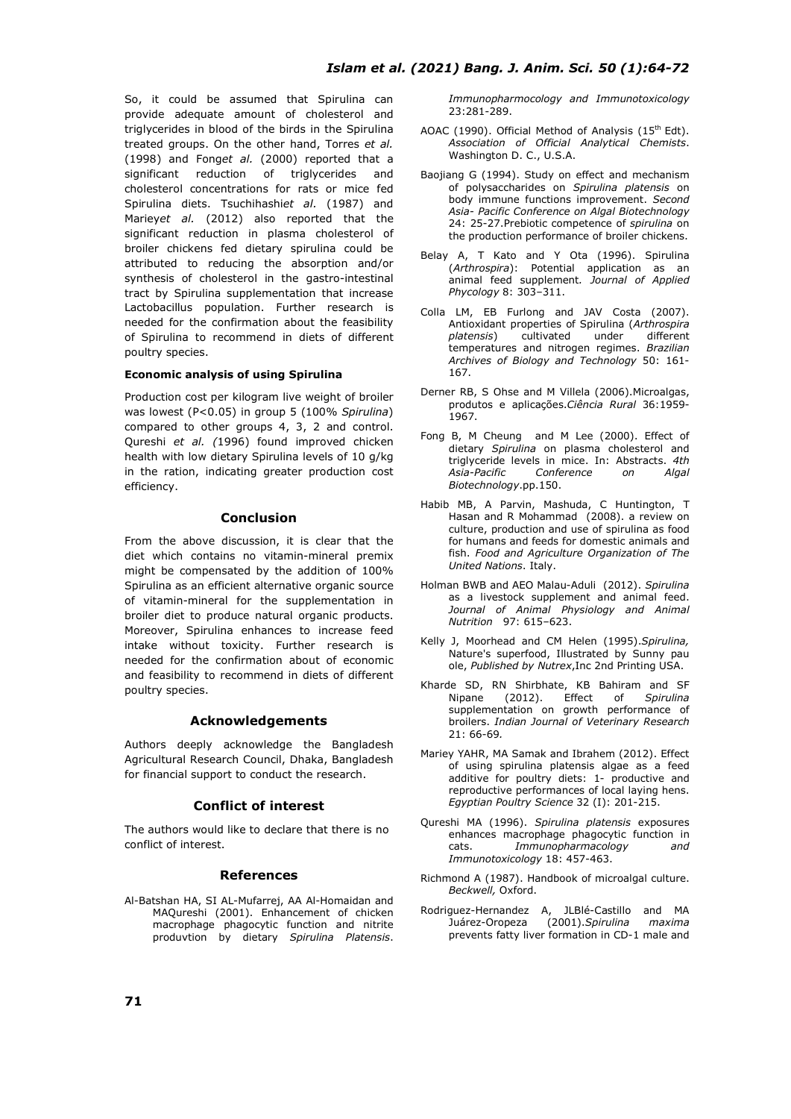So, it could be assumed that Spirulina can provide adequate amount of cholesterol and triglycerides in blood of the birds in the Spirulina treated groups. On the other hand, Torres *et al.* (1998) and Fong*et al.* (2000) reported that a significant reduction of triglycerides and cholesterol concentrations for rats or mice fed Spirulina diets. Tsuchihashi*et al.* (1987) and Mariey*et al.* (2012) also reported that the significant reduction in plasma cholesterol of broiler chickens fed dietary spirulina could be attributed to reducing the absorption and/or synthesis of cholesterol in the gastro-intestinal tract by Spirulina supplementation that increase Lactobacillus population. Further research is needed for the confirmation about the feasibility of Spirulina to recommend in diets of different poultry species.

## **Economic analysis of using Spirulina**

Production cost per kilogram live weight of broiler was lowest (P<0.05) in group 5 (100% *Spirulina*) compared to other groups 4, 3, 2 and control. Qureshi *et al. (*1996) found improved chicken health with low dietary Spirulina levels of 10 g/kg in the ration, indicating greater production cost efficiency.

## **Conclusion**

From the above discussion, it is clear that the diet which contains no vitamin-mineral premix might be compensated by the addition of 100% Spirulina as an efficient alternative organic source of vitamin-mineral for the supplementation in broiler diet to produce natural organic products. Moreover, Spirulina enhances to increase feed intake without toxicity. Further research is needed for the confirmation about of economic and feasibility to recommend in diets of different poultry species.

## **Acknowledgements**

Authors deeply acknowledge the Bangladesh Agricultural Research Council, Dhaka, Bangladesh for financial support to conduct the research.

### **Conflict of interest**

The authors would like to declare that there is no conflict of interest.

### **References**

Al-Batshan HA, SI AL-Mufarrej, AA Al-Homaidan and MAQureshi (2001). Enhancement of chicken macrophage phagocytic function and nitrite produvtion by dietary *Spirulina Platensis*.

*Immunopharmocology and Immunotoxicology* 23:281-289.

- AOAC (1990). Official Method of Analysis (15<sup>th</sup> Edt). *Association of Official Analytical Chemists*. Washington D. C., U.S.A.
- Baojiang G (1994). Study on effect and mechanism of polysaccharides on *Spirulina platensis* on body immune functions improvement. *Second Asia- Pacific Conference on Algal Biotechnology* 24: 25-27.Prebiotic competence of *spirulina* on the production performance of broiler chickens.
- Belay A, T Kato and Y Ota (1996). Spirulina (*Arthrospira*): Potential application as an animal feed supplement*. Journal of Applied Phycology* 8: 303–311.
- Colla LM, EB Furlong and JAV Costa (2007). Antioxidant properties of Spirulina (*Arthrospira platensis*) cultivated under different temperatures and nitrogen regimes. *Brazilian Archives of Biology and Technology* 50: 161- 167.
- Derner RB, S Ohse and M Villela (2006).Microalgas, produtos e aplicações.*Ciência Rural* 36:1959- 1967.
- Fong B, M Cheung and M Lee (2000). Effect of dietary *Spirulina* on plasma cholesterol and triglyceride levels in mice. In: Abstracts. *4th Asia-Pacific Conference on Algal Biotechnology*.pp.150.
- Habib MB, A Parvin, Mashuda, C Huntington, T Hasan and R Mohammad (2008). a review on culture, production and use of spirulina as food for humans and feeds for domestic animals and fish. *Food and Agriculture Organization of The United Nations*. Italy.
- Holman BWB and AEO Malau-Aduli (2012). *Spirulina* as a livestock supplement and animal feed. *Journal of Animal Physiology and Animal Nutrition* 97: 615–623.
- Kelly J, Moorhead and CM Helen (1995).*Spirulina,* Nature's superfood, Illustrated by Sunny pau ole, *Published by Nutrex*,Inc 2nd Printing USA.
- Kharde SD, RN Shirbhate, KB Bahiram and SF Nipane (2012). Effect of *Spirulina* supplementation on growth performance of broilers. *Indian Journal of Veterinary Research*  21: 66-69*.*
- Mariey YAHR, MA Samak and Ibrahem (2012). Effect of using spirulina platensis algae as a feed additive for poultry diets: 1- productive and reproductive performances of local laying hens. *Egyptian Poultry Science* 32 (I): 201-215.
- Qureshi MA (1996). *Spirulina platensis* exposures enhances macrophage phagocytic function in cats. *Immunopharmacology and Immunotoxicology* 18: 457-463.
- Richmond A (1987). Handbook of microalgal culture. *Beckwell,* Oxford.
- Rodriguez-Hernandez A, JLBlé-Castillo and MA Juárez-Oropeza (2001).*Spirulina maxima* prevents fatty liver formation in CD-1 male and